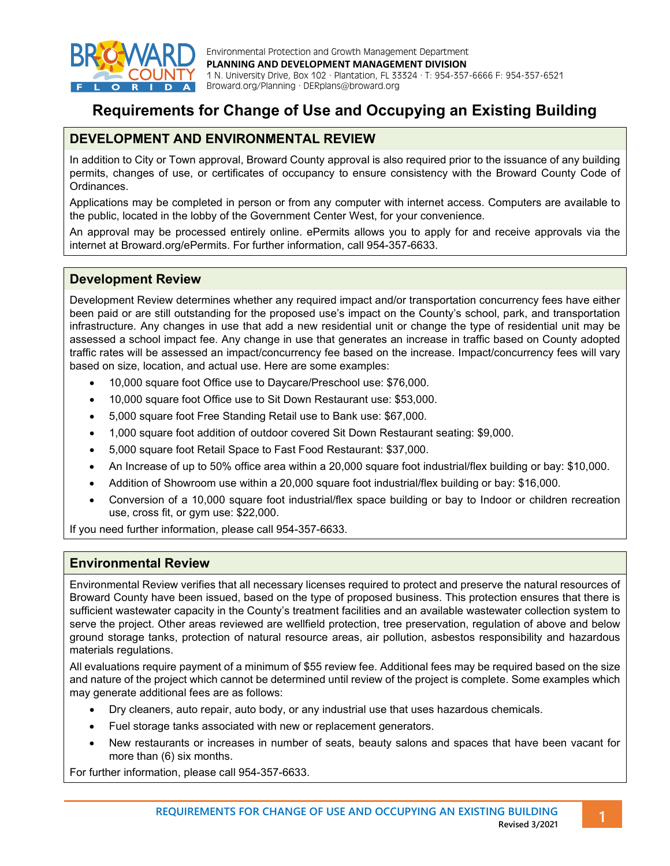

Environmental Protection and Growth Management Department **PLANNING AND DEVELOPMENT MANAGEMENT DIVISION** 1 N. University Drive, Box 102 · Plantation, FL 33324 · T: 954-357-6666 F: 954-357-6521 A Broward.org/Planning · DERplans@broward.org

# **Requirements for Change of Use and Occupying an Existing Building**

## **DEVELOPMENT AND ENVIRONMENTAL REVIEW**

In addition to City or Town approval, Broward County approval is also required prior to the issuance of any building permits, changes of use, or certificates of occupancy to ensure consistency with the Broward County Code of Ordinances.

Applications may be completed in person or from any computer with internet access. Computers are available to the public, located in the lobby of the Government Center West, for your convenience.

An approval may be processed entirely online. ePermits allows you to apply for and receive approvals via the internet at Broward.org/ePermits. For further information, call 954-357-6633.

#### **Development Review**

Development Review determines whether any required impact and/or transportation concurrency fees have either been paid or are still outstanding for the proposed use's impact on the County's school, park, and transportation infrastructure. Any changes in use that add a new residential unit or change the type of residential unit may be assessed a school impact fee. Any change in use that generates an increase in traffic based on County adopted traffic rates will be assessed an impact/concurrency fee based on the increase. Impact/concurrency fees will vary based on size, location, and actual use. Here are some examples:

- 10,000 square foot Office use to Daycare/Preschool use: \$76,000.
- 10,000 square foot Office use to Sit Down Restaurant use: \$53,000.
- 5,000 square foot Free Standing Retail use to Bank use: \$67,000.
- 1,000 square foot addition of outdoor covered Sit Down Restaurant seating: \$9,000.
- 5,000 square foot Retail Space to Fast Food Restaurant: \$37,000.
- An Increase of up to 50% office area within a 20,000 square foot industrial/flex building or bay: \$10,000.
- Addition of Showroom use within a 20,000 square foot industrial/flex building or bay: \$16,000.
- Conversion of a 10,000 square foot industrial/flex space building or bay to Indoor or children recreation use, cross fit, or gym use: \$22,000.

If you need further information, please call 954-357-6633.

#### **Environmental Review**

Environmental Review verifies that all necessary licenses required to protect and preserve the natural resources of Broward County have been issued, based on the type of proposed business. This protection ensures that there is sufficient wastewater capacity in the County's treatment facilities and an available wastewater collection system to serve the project. Other areas reviewed are wellfield protection, tree preservation, regulation of above and below ground storage tanks, protection of natural resource areas, air pollution, asbestos responsibility and hazardous materials regulations.

All evaluations require payment of a minimum of \$55 review fee. Additional fees may be required based on the size and nature of the project which cannot be determined until review of the project is complete. Some examples which may generate additional fees are as follows:

- Dry cleaners, auto repair, auto body, or any industrial use that uses hazardous chemicals.
- Fuel storage tanks associated with new or replacement generators.
- New restaurants or increases in number of seats, beauty salons and spaces that have been vacant for more than (6) six months.

For further information, please call 954-357-6633.